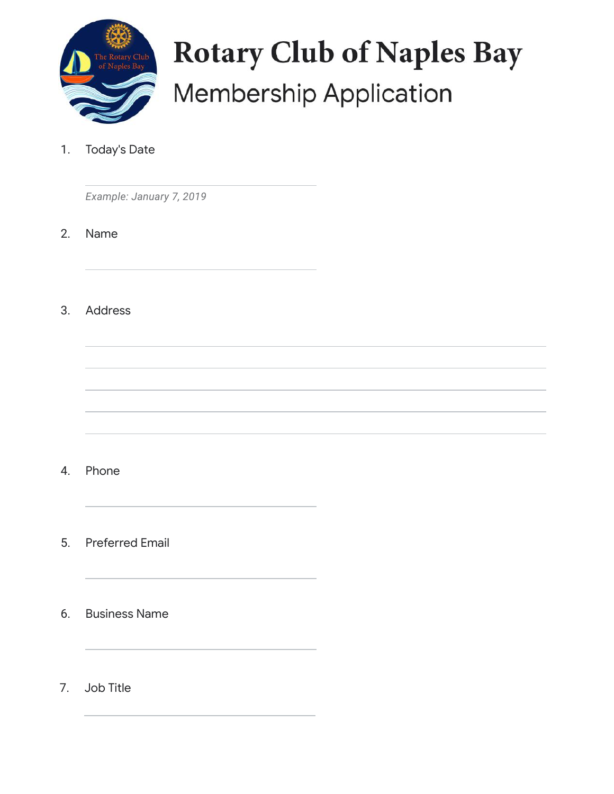

## **Rotary Club of Naples Bay Membership Application**

1. Today's Date

*Example: January 7, 2019*

2. Name

3. Address

- 4. Phone
- 5. Preferred Email
- 6. Business Name
- 7. Job Title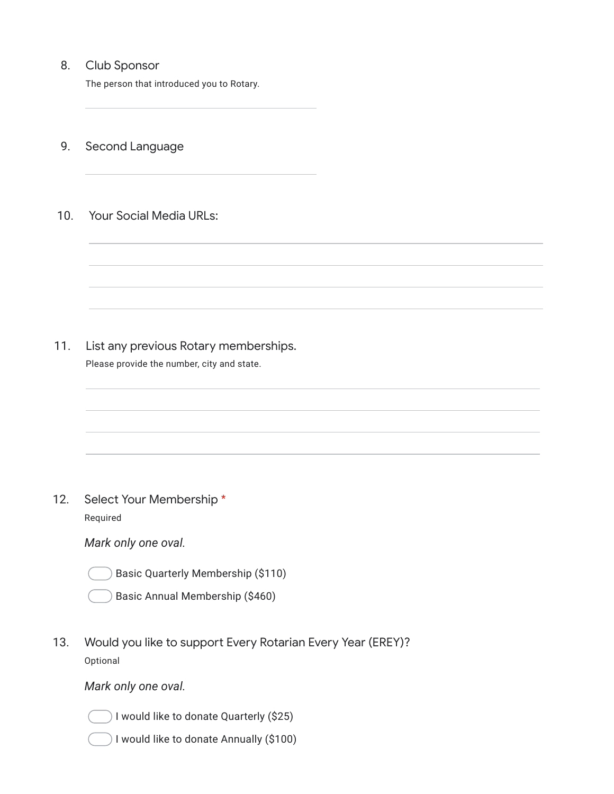## 8. Club Sponsor

The person that introduced you to Rotary.

- 9. Second Language
- 10. Your Social Media URLs:

- 11. List any previous Rotary memberships.
	- Please provide the number, city and state.

12. Select Your Membership \* Required

*Mark only one oval.*

Basic Quarterly Membership (\$110)

Basic Annual Membership (\$460)

13. Would you like to support Every Rotarian Every Year (EREY)? Optional

*Mark only one oval.*



- I would like to donate Quarterly (\$25)
- I would like to donate Annually (\$100)